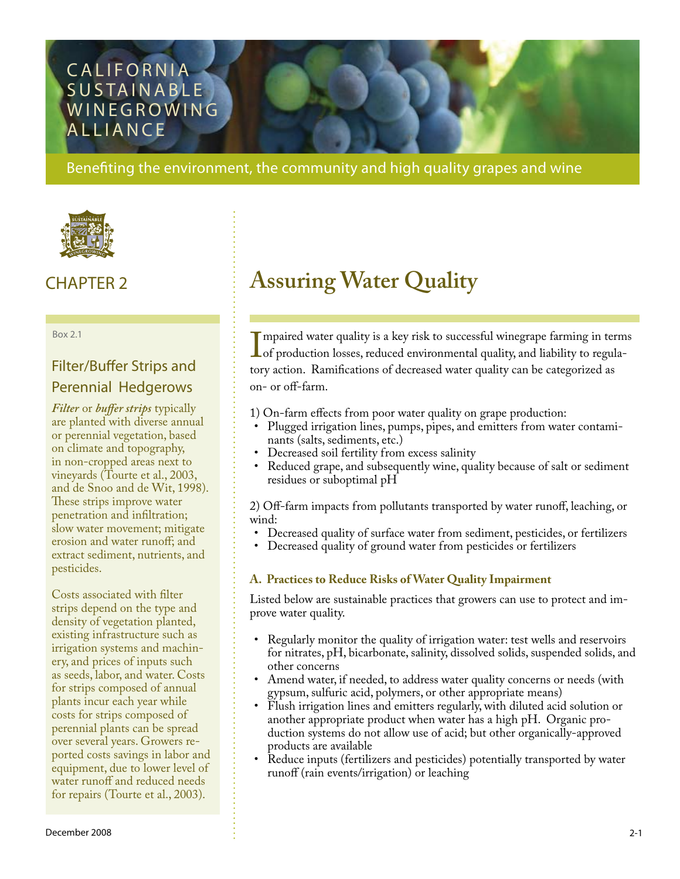## **CALIFORNIA** SUSTAINABLE **WINEGROWING ALLIANCE**

Benefiting the environment, the community and high quality grapes and wine



Box 2.1

## Filter/Buffer Strips and Perennial Hedgerows

*Filter* or *buffer strips* typically are planted with diverse annual or perennial vegetation, based on climate and topography, in non-cropped areas next to vineyards (Tourte et al., 2003, and de Snoo and de Wit, 1998). These strips improve water penetration and infiltration; slow water movement; mitigate erosion and water runoff; and extract sediment, nutrients, and pesticides.

Costs associated with filter strips depend on the type and density of vegetation planted, existing infrastructure such as irrigation systems and machinery, and prices of inputs such as seeds, labor, and water. Costs for strips composed of annual plants incur each year while costs for strips composed of perennial plants can be spread over several years. Growers reported costs savings in labor and equipment, due to lower level of water runoff and reduced needs for repairs (Tourte et al., 2003).

# CHAPTER 2 **Assuring Water Quality**

 $\prod_{\rm for}$ mpaired water quality is a key risk to successful winegrape farming in terms of production losses, reduced environmental quality, and liability to regulatory action. Ramifications of decreased water quality can be categorized as on- or off-farm.

1) On-farm effects from poor water quality on grape production:

- Plugged irrigation lines, pumps, pipes, and emitters from water contaminants (salts, sediments, etc.) •
- Decreased soil fertility from excess salinity
- Reduced grape, and subsequently wine, quality because of salt or sediment residues or suboptimal pH •

2) Off-farm impacts from pollutants transported by water runoff, leaching, or wind:

- Decreased quality of surface water from sediment, pesticides, or fertilizers •
- Decreased quality of ground water from pesticides or fertilizers •

### **A. Practices to Reduce Risks of Water Quality Impairment**

Listed below are sustainable practices that growers can use to protect and improve water quality.

- Regularly monitor the quality of irrigation water: test wells and reservoirs for nitrates, pH, bicarbonate, salinity, dissolved solids, suspended solids, and other concerns •
- Amend water, if needed, to address water quality concerns or needs (with gypsum, sulfuric acid, polymers, or other appropriate means)
- Flush irrigation lines and emitters regularly, with diluted acid solution or another appropriate product when water has a high pH. Organic production systems do not allow use of acid; but other organically-approved products are available
- Reduce inputs (fertilizers and pesticides) potentially transported by water runoff (rain events/irrigation) or leaching •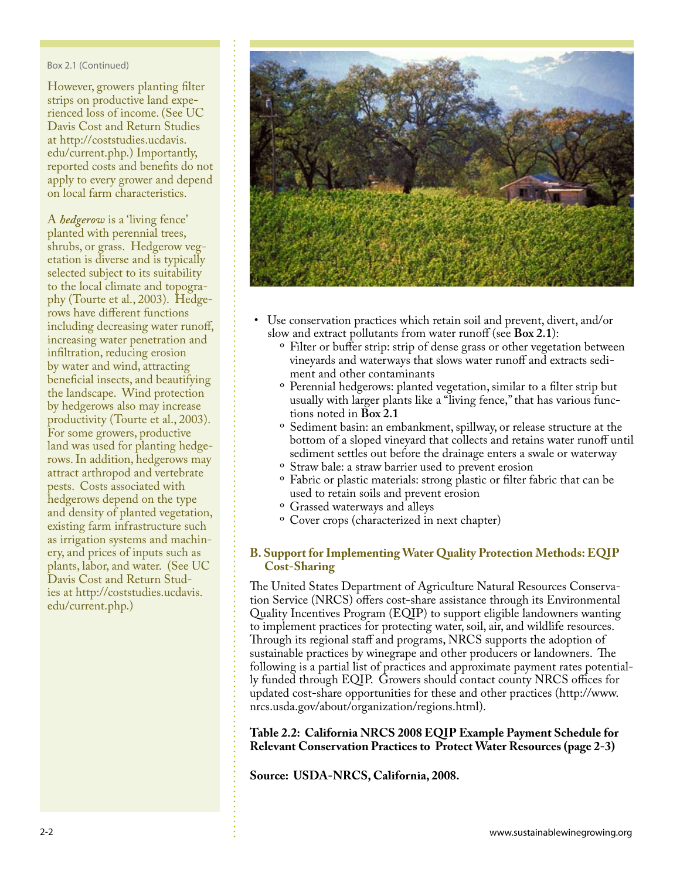#### Box 2.1 (Continued)

However, growers planting filter strips on productive land experienced loss of income. (See UC Davis Cost and Return Studies at [http://coststudies.ucdavis.](http://coststudies.ucdavis.edu/current.php) [edu/current.php.](http://coststudies.ucdavis.edu/current.php)) Importantly, reported costs and benefits do not apply to every grower and depend on local farm characteristics.

A *hedgerow* is a 'living fence' planted with perennial trees, shrubs, or grass. Hedgerow vegetation is diverse and is typically selected subject to its suitability to the local climate and topography (Tourte et al., 2003). Hedgerows have different functions including decreasing water runoff, increasing water penetration and infiltration, reducing erosion by water and wind, attracting beneficial insects, and beautifying the landscape. Wind protection by hedgerows also may increase productivity (Tourte et al., 2003). For some growers, productive land was used for planting hedgerows. In addition, hedgerows may attract arthropod and vertebrate pests. Costs associated with hedgerows depend on the type and density of planted vegetation, existing farm infrastructure such as irrigation systems and machinery, and prices of inputs such as plants, labor, and water. (See UC Davis Cost and Return Studies at [http://coststudies.ucdavis.](http://coststudies.ucdavis.edu/current.php) [edu/current.php.](http://coststudies.ucdavis.edu/current.php))



- Use conservation practices which retain soil and prevent, divert, and/or slow and extract pollutants from water runoff (see **Box 2.1**):
	- <sup>o</sup> Filter or buffer strip: strip of dense grass or other vegetation between vineyards and waterways that slows water runoff and extracts sediment and other contaminants
	- $\rm ^o$  Perennial hedgerows: planted vegetation, similar to a filter strip but usually with larger plants like a "living fence," that has various functions noted in **Box 2.1**
	- <sup>o</sup> Sediment basin: an embankment, spillway, or release structure at the bottom of a sloped vineyard that collects and retains water runoff until sediment settles out before the drainage enters a swale or waterway
	- ° Straw bale: a straw barrier used to prevent erosion
	- <sup>o</sup> Fabric or plastic materials: strong plastic or filter fabric that can be used to retain soils and prevent erosion
	- <sup>o</sup> Grassed waterways and alleys
	- <sup>o</sup> Cover crops (characterized in next chapter)

#### **B. Support for Implementing Water Quality Protection Methods: EQIP Cost-Sharing**

The United States Department of Agriculture Natural Resources Conservation Service (NRCS) offers cost-share assistance through its Environmental Quality Incentives Program (EQIP) to support eligible landowners wanting to implement practices for protecting water, soil, air, and wildlife resources. Through its regional staff and programs, NRCS supports the adoption of sustainable practices by winegrape and other producers or landowners. The following is a partial list of practices and approximate payment rates potentially funded through EQIP. Growers should contact county NRCS offices for updated cost-share opportunities for these and other practices ([http://www.](http://www.nrcs.usda.gov/about/organization/regions.html) [nrcs.usda.gov/about/organization/regions.html](http://www.nrcs.usda.gov/about/organization/regions.html)).

#### l, **Table 2.2: California NRCS 2008 EQIP Example Payment Schedule for Relevant Conservation Practices to Protect Water Resources (page 2-3)**

**Source: USDA-NRCS, California, 2008.**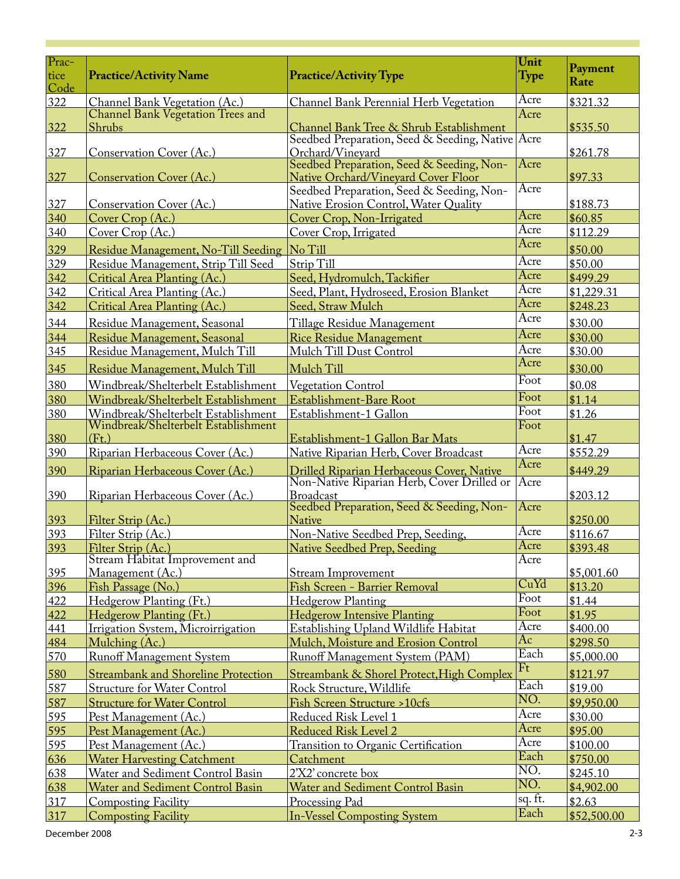| Prac-        |                                                      |                                                                                                      |                |                 |
|--------------|------------------------------------------------------|------------------------------------------------------------------------------------------------------|----------------|-----------------|
| tice<br>Code | <b>Practice/Activity Name</b>                        | <b>Practice/Activity Type</b>                                                                        | Unit<br>Type   | Payment<br>Rate |
| 322          | Channel Bank Vegetation (Ac.)                        | Channel Bank Perennial Herb Vegetation                                                               | Acre           | \$321.32        |
|              | Channel Bank Vegetation Trees and                    |                                                                                                      | Acre           |                 |
| $322$        | Shrubs                                               | Channel Bank Tree & Shrub Establishment                                                              |                | \$535.50        |
|              |                                                      | Seedbed Preparation, Seed & Seeding, Native Acre                                                     |                |                 |
| 327          | Conservation Cover (Ac.)                             | Orchard/Vineyard<br>Seedbed Preparation, Seed & Seeding, Non-                                        | Acre           | \$261.78        |
| 327          | <b>Conservation Cover (Ac.)</b>                      | Native Orchard/Vineyard Cover Floor                                                                  |                | \$97.33         |
|              |                                                      | Seedbed Preparation, Seed & Seeding, Non-                                                            | Acre           |                 |
| 327          | Conservation Cover (Ac.)                             | Native Erosion Control, Water Quality                                                                |                | \$188.73        |
| 340          | Cover Crop (Ac.)                                     | Cover Crop, Non-Irrigated                                                                            | Acre           | \$60.85         |
| 340          | Cover Crop (Ac.)                                     | Cover Crop, Irrigated                                                                                | Acre           | \$112.29        |
| 329          | Residue Management, No-Till Seeding                  | No Till                                                                                              | Acre           | \$50.00         |
| 329          | Residue Management, Strip Till Seed                  | Strip Till                                                                                           | Acre           | \$50.00         |
| $342$        | Critical Area Planting (Ac.)                         | Seed, Hydromulch, Tackifier                                                                          | Acre           | \$499.29        |
| 342          | Critical Area Planting (Ac.)                         | Seed, Plant, Hydroseed, Erosion Blanket                                                              | Acre           | \$1,229.31      |
| $342$        | Critical Area Planting (Ac.)                         | Seed, Straw Mulch                                                                                    | Acre           | \$248.23        |
| 344          | Residue Management, Seasonal                         | Tillage Residue Management                                                                           | Acre           | \$30.00         |
| 344          | Residue Management, Seasonal                         | <b>Rice Residue Management</b>                                                                       | Acre           | \$30.00         |
| 345          | Residue Management, Mulch Till                       | Mulch Till Dust Control                                                                              | Acre           | \$30.00         |
| $345$        | Residue Management, Mulch Till                       | Mulch Till                                                                                           | Acre           | \$30.00         |
|              | Windbreak/Shelterbelt Establishment                  |                                                                                                      | Foot           | \$0.08          |
| 380<br>380   | Windbreak/Shelterbelt Establishment                  | <b>Vegetation Control</b><br>Establishment-Bare Root                                                 | Foot           | \$1.14          |
| 380          | Windbreak/Shelterbelt Establishment                  | Establishment-1 Gallon                                                                               | Foot           | \$1.26          |
|              | Windbreak/Shelterbelt Establishment                  |                                                                                                      | Foot           |                 |
| 380          | (Ft.)                                                | Establishment-1 Gallon Bar Mats                                                                      |                | \$1.47          |
| 390          | Riparian Herbaceous Cover (Ac.)                      | Native Riparian Herb, Cover Broadcast                                                                | Acre           | \$552.29        |
| 390          | Riparian Herbaceous Cover (Ac.)                      |                                                                                                      | Acre           | \$449.29        |
|              |                                                      | <mark>Drilled Riparian Herbaceous Cover, Native</mark><br>Non-Native Riparian Herb, Cover Drilled or | Acre           |                 |
| 390          | Riparian Herbaceous Cover (Ac.)                      | <b>Broadcast</b>                                                                                     |                | \$203.12        |
|              |                                                      | Seedbed Preparation, Seed & Seeding, Non-                                                            | Acre           |                 |
| 393          | Filter Strip (Ac.)                                   | <b>Native</b>                                                                                        | Acre           | \$250.00        |
| 393          | Filter Strip (Ac.)                                   | Non-Native Seedbed Prep, Seeding,                                                                    | Acre           | \$116.67        |
| 393          | Filter Strip (Ac.)<br>Stream Habitat Improvement and | Native Seedbed Prep, Seeding                                                                         | Acre           | \$393.48        |
| 395          | Management (Ac.)                                     | <b>Stream Improvement</b>                                                                            |                | \$5,001.60      |
| 396          | Fish Passage (No.)                                   | Fish Screen - Barrier Removal                                                                        | CuYd           | \$13.20         |
| 422          | Hedgerow Planting (Ft.)                              | <b>Hedgerow Planting</b>                                                                             | Foot           | \$1.44          |
| 422          | Hedgerow Planting (Ft.)                              | <b>Hedgerow Intensive Planting</b>                                                                   | Foot           | \$1.95          |
| 441          | Irrigation System, Microirrigation                   | Establishing Upland Wildlife Habitat                                                                 | Acre           | \$400.00        |
| 484          | Mulching (Ac.)                                       | Mulch, Moisture and Erosion Control                                                                  | Ac             | \$298.50        |
| 570          | <b>Runoff Management System</b>                      | Runoff Management System (PAM)                                                                       | Each           | \$5,000.00      |
| 580          | <b>Streambank and Shoreline Protection</b>           | Streambank & Shorel Protect, High Complex                                                            | F <sub>t</sub> | \$121.97        |
| 587          | <b>Structure for Water Control</b>                   | Rock Structure, Wildlife                                                                             | Each           | \$19.00         |
| 587          | <b>Structure for Water Control</b>                   | Fish Screen Structure > 10cfs                                                                        | NO.            | \$9,950.00      |
| 595          | Pest Management (Ac.)                                | Reduced Risk Level 1                                                                                 | Acre           | \$30.00         |
| 595          | Pest Management (Ac.)                                | Reduced Risk Level 2                                                                                 | Acre           | \$95.00         |
| 595          | Pest Management (Ac.)                                | <b>Transition to Organic Certification</b>                                                           | Acre           | \$100.00        |
| 636          | <b>Water Harvesting Catchment</b>                    | Catchment                                                                                            | Each           | \$750.00        |
| 638          | Water and Sediment Control Basin                     | 2'X2' concrete box                                                                                   | NO.            | \$245.10        |
| 638          | Water and Sediment Control Basin                     | Water and Sediment Control Basin                                                                     | NO.            | \$4,902.00      |
| 317          | <b>Composting Facility</b>                           | Processing Pad                                                                                       | sq. ft.        | \$2.63          |
| 317          | <b>Composting Facility</b>                           | <b>In-Vessel Composting System</b>                                                                   | Each           | \$52,500.00     |